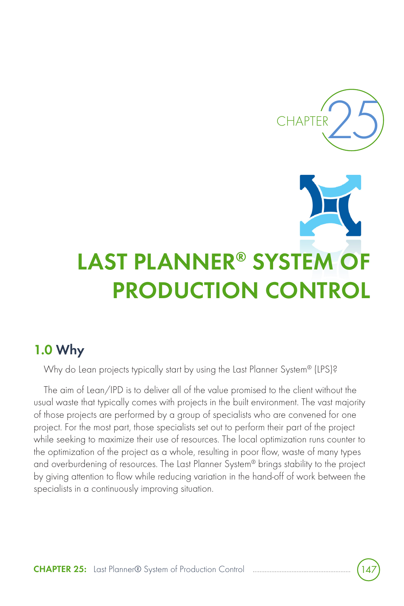

# **LAST PLANNER® SYSTEM OF PRODUCTION CONTROL**

### **1.0 Why**

Why do Lean projects typically start by using the Last Planner System® (LPS)?

The aim of Lean/IPD is to deliver all of the value promised to the client without the usual waste that typically comes with projects in the built environment. The vast majority of those projects are performed by a group of specialists who are convened for one project. For the most part, those specialists set out to perform their part of the project while seeking to maximize their use of resources. The local optimization runs counter to the optimization of the project as a whole, resulting in poor flow, waste of many types and overburdening of resources. The Last Planner System® brings stability to the project by giving attention to flow while reducing variation in the hand-off of work between the specialists in a continuously improving situation.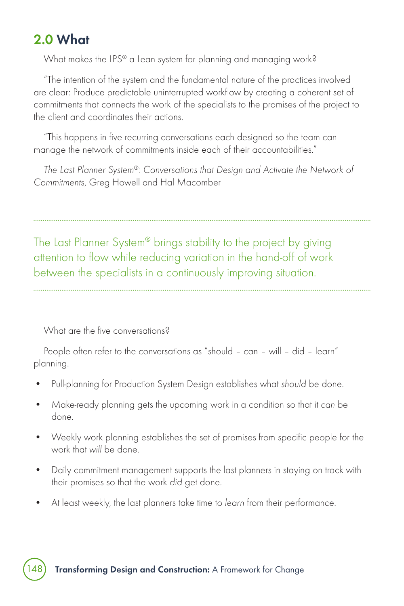## **2.0 What**

What makes the LPS® a Lean system for planning and managing work?

"The intention of the system and the fundamental nature of the practices involved are clear: Produce predictable uninterrupted workflow by creating a coherent set of commitments that connects the work of the specialists to the promises of the project to the client and coordinates their actions.

"This happens in five recurring conversations each designed so the team can manage the network of commitments inside each of their accountabilities."

The Last Planner System®: Conversations that Design and Activate the Network of Commitments, Greg Howell and Hal Macomber

The Last Planner System® brings stability to the project by giving attention to flow while reducing variation in the hand-off of work

between the specialists in a continuously improving situation.

What are the five conversations?

People often refer to the conversations as "should – can – will – did – learn" planning.

- Pull-planning for Production System Design establishes what should be done.
- Make-ready planning gets the upcoming work in a condition so that it can be done.
- Weekly work planning establishes the set of promises from specific people for the work that will be done.
- Daily commitment management supports the last planners in staying on track with their promises so that the work did get done.
- At least weekly, the last planners take time to learn from their performance.